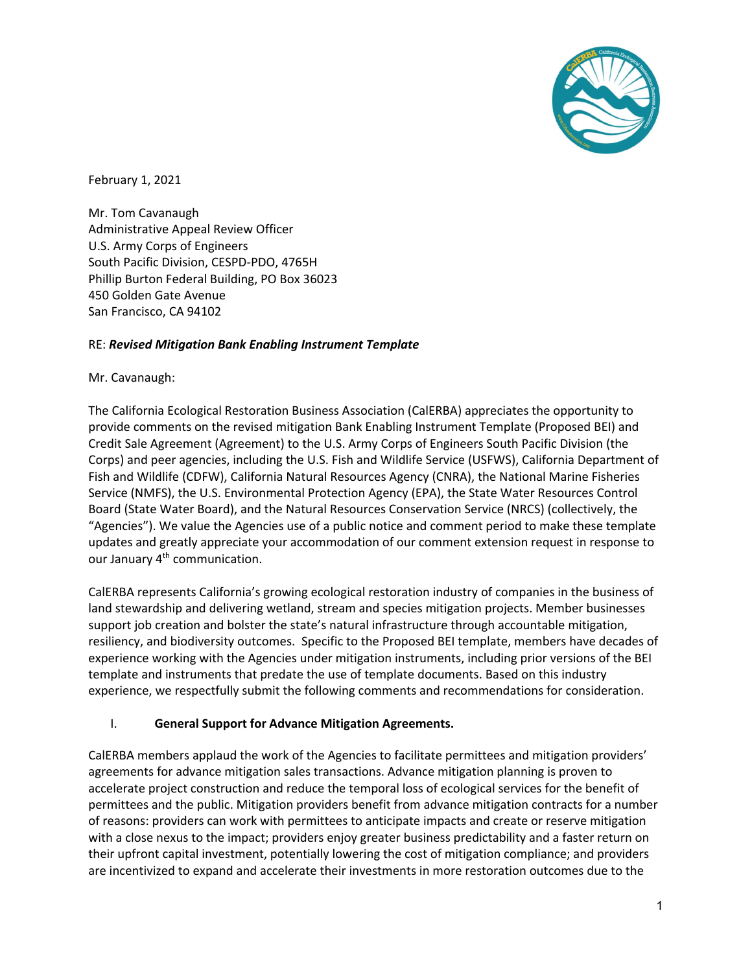

February 1, 2021

Mr. Tom Cavanaugh Administrative Appeal Review Officer U.S. Army Corps of Engineers South Pacific Division, CESPD-PDO, 4765H Phillip Burton Federal Building, PO Box 36023 450 Golden Gate Avenue San Francisco, CA 94102

#### RE: *Revised Mitigation Bank Enabling Instrument Template*

#### Mr. Cavanaugh:

The California Ecological Restoration Business Association (CalERBA) appreciates the opportunity to provide comments on the revised mitigation Bank Enabling Instrument Template (Proposed BEI) and Credit Sale Agreement (Agreement) to the U.S. Army Corps of Engineers South Pacific Division (the Corps) and peer agencies, including the U.S. Fish and Wildlife Service (USFWS), California Department of Fish and Wildlife (CDFW), California Natural Resources Agency (CNRA), the National Marine Fisheries Service (NMFS), the U.S. Environmental Protection Agency (EPA), the State Water Resources Control Board (State Water Board), and the Natural Resources Conservation Service (NRCS) (collectively, the "Agencies"). We value the Agencies use of a public notice and comment period to make these template updates and greatly appreciate your accommodation of our comment extension request in response to our January 4<sup>th</sup> communication.

CalERBA represents California's growing ecological restoration industry of companies in the business of land stewardship and delivering wetland, stream and species mitigation projects. Member businesses support job creation and bolster the state's natural infrastructure through accountable mitigation, resiliency, and biodiversity outcomes. Specific to the Proposed BEI template, members have decades of experience working with the Agencies under mitigation instruments, including prior versions of the BEI template and instruments that predate the use of template documents. Based on this industry experience, we respectfully submit the following comments and recommendations for consideration.

### I. **General Support for Advance Mitigation Agreements.**

CalERBA members applaud the work of the Agencies to facilitate permittees and mitigation providers' agreements for advance mitigation sales transactions. Advance mitigation planning is proven to accelerate project construction and reduce the temporal loss of ecological services for the benefit of permittees and the public. Mitigation providers benefit from advance mitigation contracts for a number of reasons: providers can work with permittees to anticipate impacts and create or reserve mitigation with a close nexus to the impact; providers enjoy greater business predictability and a faster return on their upfront capital investment, potentially lowering the cost of mitigation compliance; and providers are incentivized to expand and accelerate their investments in more restoration outcomes due to the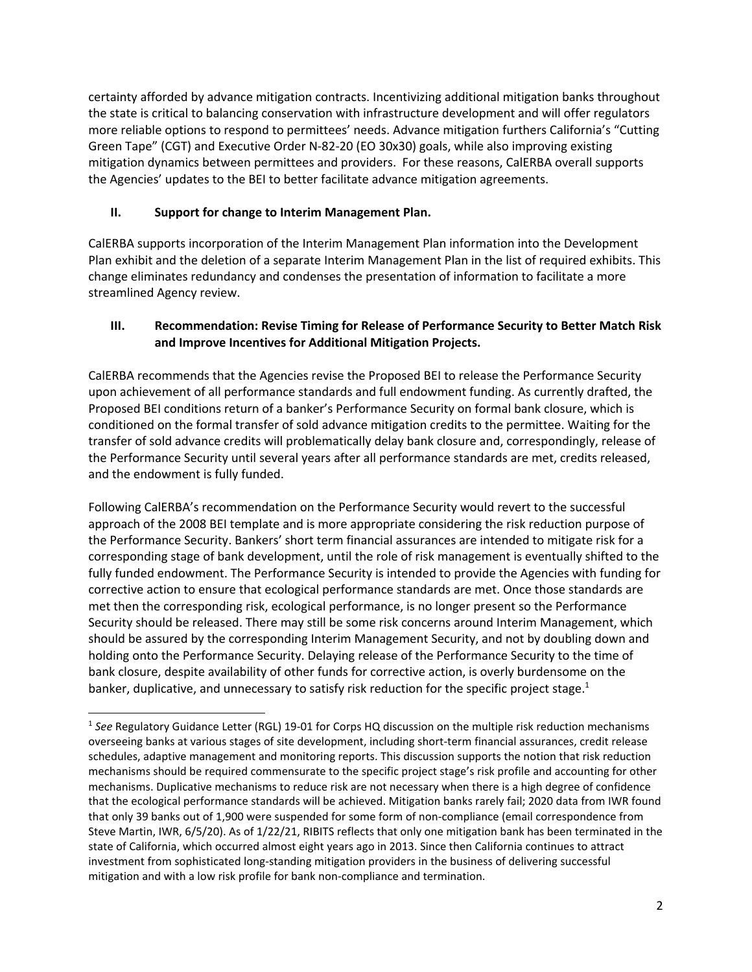certainty afforded by advance mitigation contracts. Incentivizing additional mitigation banks throughout the state is critical to balancing conservation with infrastructure development and will offer regulators more reliable options to respond to permittees' needs. Advance mitigation furthers California's "Cutting Green Tape" (CGT) and Executive Order N-82-20 (EO 30x30) goals, while also improving existing mitigation dynamics between permittees and providers. For these reasons, CalERBA overall supports the Agencies' updates to the BEI to better facilitate advance mitigation agreements.

### **II. Support for change to Interim Management Plan.**

l

CalERBA supports incorporation of the Interim Management Plan information into the Development Plan exhibit and the deletion of a separate Interim Management Plan in the list of required exhibits. This change eliminates redundancy and condenses the presentation of information to facilitate a more streamlined Agency review.

### **III. Recommendation: Revise Timing for Release of Performance Security to Better Match Risk and Improve Incentives for Additional Mitigation Projects.**

CalERBA recommends that the Agencies revise the Proposed BEI to release the Performance Security upon achievement of all performance standards and full endowment funding. As currently drafted, the Proposed BEI conditions return of a banker's Performance Security on formal bank closure, which is conditioned on the formal transfer of sold advance mitigation credits to the permittee. Waiting for the transfer of sold advance credits will problematically delay bank closure and, correspondingly, release of the Performance Security until several years after all performance standards are met, credits released, and the endowment is fully funded.

Following CalERBA's recommendation on the Performance Security would revert to the successful approach of the 2008 BEI template and is more appropriate considering the risk reduction purpose of the Performance Security. Bankers' short term financial assurances are intended to mitigate risk for a corresponding stage of bank development, until the role of risk management is eventually shifted to the fully funded endowment. The Performance Security is intended to provide the Agencies with funding for corrective action to ensure that ecological performance standards are met. Once those standards are met then the corresponding risk, ecological performance, is no longer present so the Performance Security should be released. There may still be some risk concerns around Interim Management, which should be assured by the corresponding Interim Management Security, and not by doubling down and holding onto the Performance Security. Delaying release of the Performance Security to the time of bank closure, despite availability of other funds for corrective action, is overly burdensome on the banker, duplicative, and unnecessary to satisfy risk reduction for the specific project stage.<sup>1</sup>

<sup>&</sup>lt;sup>1</sup> See Regulatory Guidance Letter (RGL) 19-01 for Corps HQ discussion on the multiple risk reduction mechanisms overseeing banks at various stages of site development, including short-term financial assurances, credit release schedules, adaptive management and monitoring reports. This discussion supports the notion that risk reduction mechanisms should be required commensurate to the specific project stage's risk profile and accounting for other mechanisms. Duplicative mechanisms to reduce risk are not necessary when there is a high degree of confidence that the ecological performance standards will be achieved. Mitigation banks rarely fail; 2020 data from IWR found that only 39 banks out of 1,900 were suspended for some form of non-compliance (email correspondence from Steve Martin, IWR, 6/5/20). As of 1/22/21, RIBITS reflects that only one mitigation bank has been terminated in the state of California, which occurred almost eight years ago in 2013. Since then California continues to attract investment from sophisticated long-standing mitigation providers in the business of delivering successful mitigation and with a low risk profile for bank non-compliance and termination.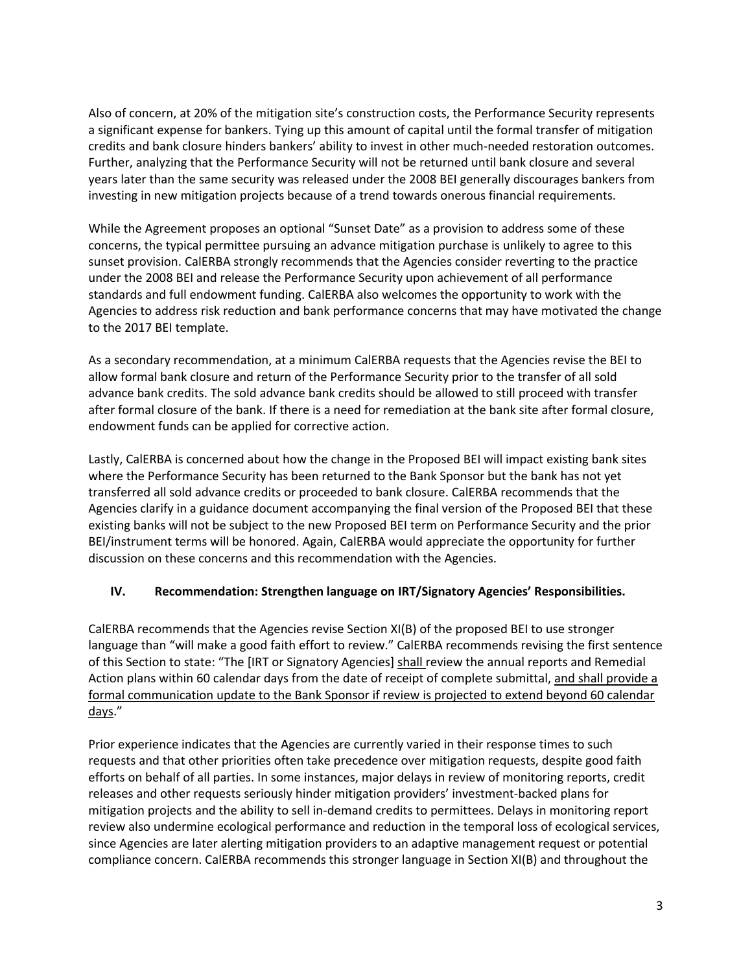Also of concern, at 20% of the mitigation site's construction costs, the Performance Security represents a significant expense for bankers. Tying up this amount of capital until the formal transfer of mitigation credits and bank closure hinders bankers' ability to invest in other much-needed restoration outcomes. Further, analyzing that the Performance Security will not be returned until bank closure and several years later than the same security was released under the 2008 BEI generally discourages bankers from investing in new mitigation projects because of a trend towards onerous financial requirements.

While the Agreement proposes an optional "Sunset Date" as a provision to address some of these concerns, the typical permittee pursuing an advance mitigation purchase is unlikely to agree to this sunset provision. CalERBA strongly recommends that the Agencies consider reverting to the practice under the 2008 BEI and release the Performance Security upon achievement of all performance standards and full endowment funding. CalERBA also welcomes the opportunity to work with the Agencies to address risk reduction and bank performance concerns that may have motivated the change to the 2017 BEI template.

As a secondary recommendation, at a minimum CalERBA requests that the Agencies revise the BEI to allow formal bank closure and return of the Performance Security prior to the transfer of all sold advance bank credits. The sold advance bank credits should be allowed to still proceed with transfer after formal closure of the bank. If there is a need for remediation at the bank site after formal closure, endowment funds can be applied for corrective action.

Lastly, CalERBA is concerned about how the change in the Proposed BEI will impact existing bank sites where the Performance Security has been returned to the Bank Sponsor but the bank has not yet transferred all sold advance credits or proceeded to bank closure. CalERBA recommends that the Agencies clarify in a guidance document accompanying the final version of the Proposed BEI that these existing banks will not be subject to the new Proposed BEI term on Performance Security and the prior BEI/instrument terms will be honored. Again, CalERBA would appreciate the opportunity for further discussion on these concerns and this recommendation with the Agencies.

### **IV. Recommendation: Strengthen language on IRT/Signatory Agencies' Responsibilities.**

CalERBA recommends that the Agencies revise Section XI(B) of the proposed BEI to use stronger language than "will make a good faith effort to review." CalERBA recommends revising the first sentence of this Section to state: "The [IRT or Signatory Agencies] shall review the annual reports and Remedial Action plans within 60 calendar days from the date of receipt of complete submittal, and shall provide a formal communication update to the Bank Sponsor if review is projected to extend beyond 60 calendar days."

Prior experience indicates that the Agencies are currently varied in their response times to such requests and that other priorities often take precedence over mitigation requests, despite good faith efforts on behalf of all parties. In some instances, major delays in review of monitoring reports, credit releases and other requests seriously hinder mitigation providers' investment-backed plans for mitigation projects and the ability to sell in-demand credits to permittees. Delays in monitoring report review also undermine ecological performance and reduction in the temporal loss of ecological services, since Agencies are later alerting mitigation providers to an adaptive management request or potential compliance concern. CalERBA recommends this stronger language in Section XI(B) and throughout the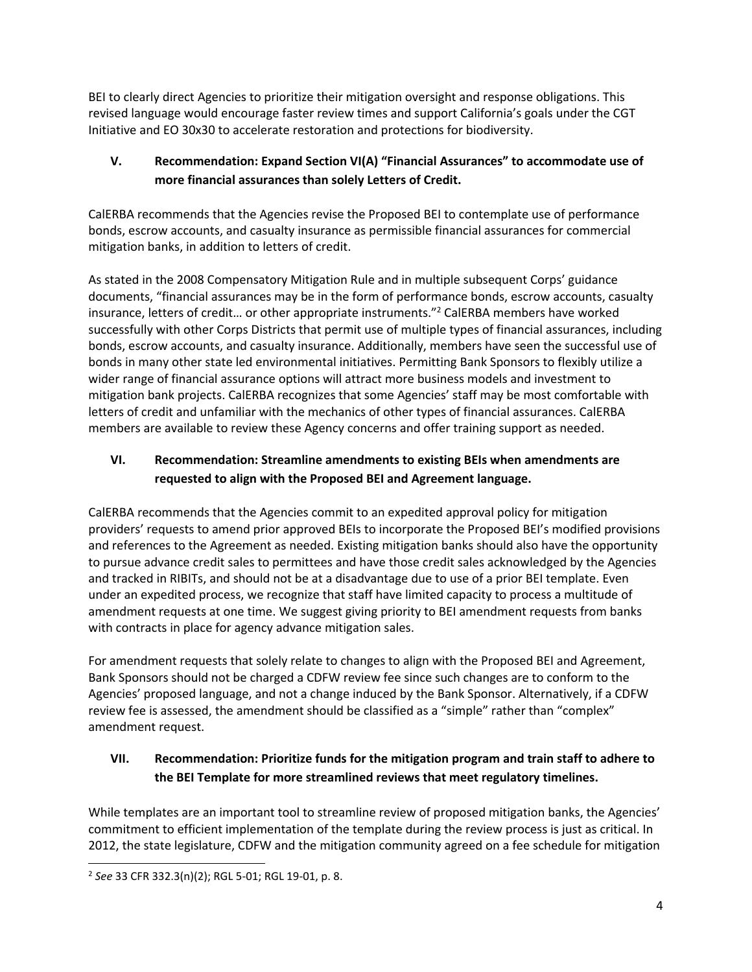BEI to clearly direct Agencies to prioritize their mitigation oversight and response obligations. This revised language would encourage faster review times and support California's goals under the CGT Initiative and EO 30x30 to accelerate restoration and protections for biodiversity.

# **V. Recommendation: Expand Section VI(A) "Financial Assurances" to accommodate use of more financial assurances than solely Letters of Credit.**

CalERBA recommends that the Agencies revise the Proposed BEI to contemplate use of performance bonds, escrow accounts, and casualty insurance as permissible financial assurances for commercial mitigation banks, in addition to letters of credit.

As stated in the 2008 Compensatory Mitigation Rule and in multiple subsequent Corps' guidance documents, "financial assurances may be in the form of performance bonds, escrow accounts, casualty insurance, letters of credit… or other appropriate instruments." <sup>2</sup> CalERBA members have worked successfully with other Corps Districts that permit use of multiple types of financial assurances, including bonds, escrow accounts, and casualty insurance. Additionally, members have seen the successful use of bonds in many other state led environmental initiatives. Permitting Bank Sponsors to flexibly utilize a wider range of financial assurance options will attract more business models and investment to mitigation bank projects. CalERBA recognizes that some Agencies' staff may be most comfortable with letters of credit and unfamiliar with the mechanics of other types of financial assurances. CalERBA members are available to review these Agency concerns and offer training support as needed.

# **VI. Recommendation: Streamline amendments to existing BEIs when amendments are requested to align with the Proposed BEI and Agreement language.**

CalERBA recommends that the Agencies commit to an expedited approval policy for mitigation providers' requests to amend prior approved BEIs to incorporate the Proposed BEI's modified provisions and references to the Agreement as needed. Existing mitigation banks should also have the opportunity to pursue advance credit sales to permittees and have those credit sales acknowledged by the Agencies and tracked in RIBITs, and should not be at a disadvantage due to use of a prior BEI template. Even under an expedited process, we recognize that staff have limited capacity to process a multitude of amendment requests at one time. We suggest giving priority to BEI amendment requests from banks with contracts in place for agency advance mitigation sales.

For amendment requests that solely relate to changes to align with the Proposed BEI and Agreement, Bank Sponsors should not be charged a CDFW review fee since such changes are to conform to the Agencies' proposed language, and not a change induced by the Bank Sponsor. Alternatively, if a CDFW review fee is assessed, the amendment should be classified as a "simple" rather than "complex" amendment request.

# **VII. Recommendation: Prioritize funds for the mitigation program and train staff to adhere to the BEI Template for more streamlined reviews that meet regulatory timelines.**

While templates are an important tool to streamline review of proposed mitigation banks, the Agencies' commitment to efficient implementation of the template during the review process is just as critical. In 2012, the state legislature, CDFW and the mitigation community agreed on a fee schedule for mitigation

l

<sup>2</sup> *See* 33 CFR 332.3(n)(2); RGL 5-01; RGL 19-01, p. 8.